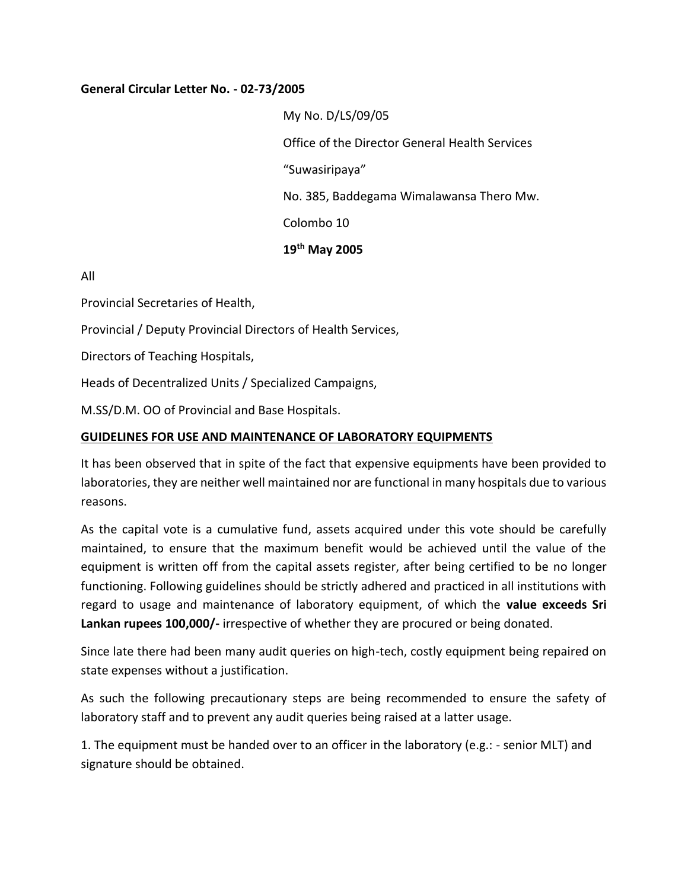## **General Circular Letter No. - 02-73/2005**

My No. D/LS/09/05 Office of the Director General Health Services "Suwasiripaya" No. 385, Baddegama Wimalawansa Thero Mw. Colombo 10 **19th May 2005** 

All

Provincial Secretaries of Health,

Provincial / Deputy Provincial Directors of Health Services,

Directors of Teaching Hospitals,

Heads of Decentralized Units / Specialized Campaigns,

M.SS/D.M. OO of Provincial and Base Hospitals.

## **GUIDELINES FOR USE AND MAINTENANCE OF LABORATORY EQUIPMENTS**

It has been observed that in spite of the fact that expensive equipments have been provided to laboratories, they are neither well maintained nor are functional in many hospitals due to various reasons.

As the capital vote is a cumulative fund, assets acquired under this vote should be carefully maintained, to ensure that the maximum benefit would be achieved until the value of the equipment is written off from the capital assets register, after being certified to be no longer functioning. Following guidelines should be strictly adhered and practiced in all institutions with regard to usage and maintenance of laboratory equipment, of which the **value exceeds Sri Lankan rupees 100,000/-** irrespective of whether they are procured or being donated.

Since late there had been many audit queries on high-tech, costly equipment being repaired on state expenses without a justification.

As such the following precautionary steps are being recommended to ensure the safety of laboratory staff and to prevent any audit queries being raised at a latter usage.

1. The equipment must be handed over to an officer in the laboratory (e.g.: - senior MLT) and signature should be obtained.